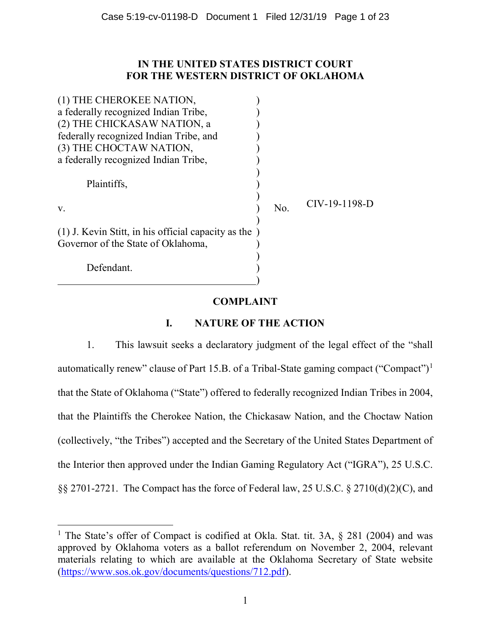# **IN THE UNITED STATES DISTRICT COURT FOR THE WESTERN DISTRICT OF OKLAHOMA**

| (1) THE CHEROKEE NATION,                                                                      |     |               |
|-----------------------------------------------------------------------------------------------|-----|---------------|
| a federally recognized Indian Tribe,                                                          |     |               |
| (2) THE CHICKASAW NATION, a                                                                   |     |               |
| federally recognized Indian Tribe, and                                                        |     |               |
| (3) THE CHOCTAW NATION,                                                                       |     |               |
| a federally recognized Indian Tribe,                                                          |     |               |
| Plaintiffs,                                                                                   |     |               |
| V.                                                                                            | No. | CIV-19-1198-D |
| $(1)$ J. Kevin Stitt, in his official capacity as the )<br>Governor of the State of Oklahoma, |     |               |
| Defendant.                                                                                    |     |               |

# **COMPLAINT**

# **I. NATURE OF THE ACTION**

1. This lawsuit seeks a declaratory judgment of the legal effect of the "shall automatically renew" clause of Part 15.B. of a Tribal-State gaming compact ("Compact")1 that the State of Oklahoma ("State") offered to federally recognized Indian Tribes in 2004, that the Plaintiffs the Cherokee Nation, the Chickasaw Nation, and the Choctaw Nation (collectively, "the Tribes") accepted and the Secretary of the United States Department of the Interior then approved under the Indian Gaming Regulatory Act ("IGRA"), 25 U.S.C. §§ 2701-2721. The Compact has the force of Federal law, 25 U.S.C. § 2710(d)(2)(C), and

<sup>&</sup>lt;sup>1</sup> The State's offer of Compact is codified at Okla. Stat. tit. 3A, § 281 (2004) and was approved by Oklahoma voters as a ballot referendum on November 2, 2004, relevant materials relating to which are available at the Oklahoma Secretary of State website (https://www.sos.ok.gov/documents/questions/712.pdf).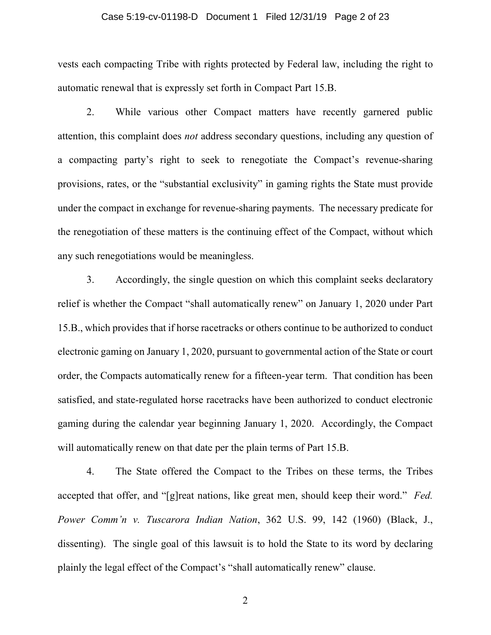### Case 5:19-cv-01198-D Document 1 Filed 12/31/19 Page 2 of 23

vests each compacting Tribe with rights protected by Federal law, including the right to automatic renewal that is expressly set forth in Compact Part 15.B.

2. While various other Compact matters have recently garnered public attention, this complaint does *not* address secondary questions, including any question of a compacting party's right to seek to renegotiate the Compact's revenue-sharing provisions, rates, or the "substantial exclusivity" in gaming rights the State must provide under the compact in exchange for revenue-sharing payments. The necessary predicate for the renegotiation of these matters is the continuing effect of the Compact, without which any such renegotiations would be meaningless.

3. Accordingly, the single question on which this complaint seeks declaratory relief is whether the Compact "shall automatically renew" on January 1, 2020 under Part 15.B., which provides that if horse racetracks or others continue to be authorized to conduct electronic gaming on January 1, 2020, pursuant to governmental action of the State or court order, the Compacts automatically renew for a fifteen-year term. That condition has been satisfied, and state-regulated horse racetracks have been authorized to conduct electronic gaming during the calendar year beginning January 1, 2020. Accordingly, the Compact will automatically renew on that date per the plain terms of Part 15.B.

4. The State offered the Compact to the Tribes on these terms, the Tribes accepted that offer, and "[g]reat nations, like great men, should keep their word." *Fed. Power Comm'n v. Tuscarora Indian Nation*, 362 U.S. 99, 142 (1960) (Black, J., dissenting). The single goal of this lawsuit is to hold the State to its word by declaring plainly the legal effect of the Compact's "shall automatically renew" clause.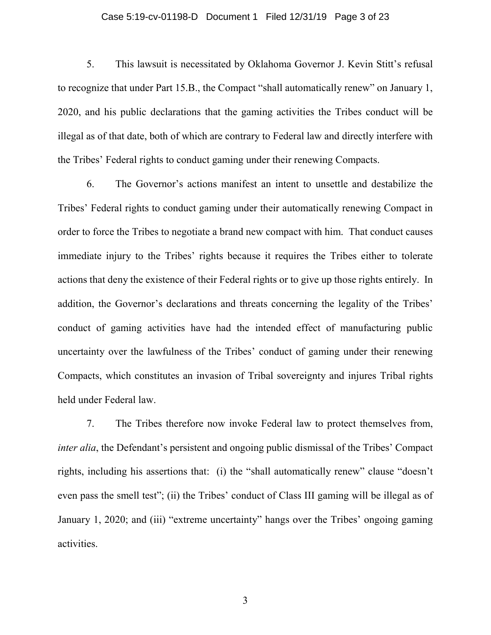### Case 5:19-cv-01198-D Document 1 Filed 12/31/19 Page 3 of 23

5. This lawsuit is necessitated by Oklahoma Governor J. Kevin Stitt's refusal to recognize that under Part 15.B., the Compact "shall automatically renew" on January 1, 2020, and his public declarations that the gaming activities the Tribes conduct will be illegal as of that date, both of which are contrary to Federal law and directly interfere with the Tribes' Federal rights to conduct gaming under their renewing Compacts.

6. The Governor's actions manifest an intent to unsettle and destabilize the Tribes' Federal rights to conduct gaming under their automatically renewing Compact in order to force the Tribes to negotiate a brand new compact with him. That conduct causes immediate injury to the Tribes' rights because it requires the Tribes either to tolerate actions that deny the existence of their Federal rights or to give up those rights entirely. In addition, the Governor's declarations and threats concerning the legality of the Tribes' conduct of gaming activities have had the intended effect of manufacturing public uncertainty over the lawfulness of the Tribes' conduct of gaming under their renewing Compacts, which constitutes an invasion of Tribal sovereignty and injures Tribal rights held under Federal law.

7. The Tribes therefore now invoke Federal law to protect themselves from, *inter alia*, the Defendant's persistent and ongoing public dismissal of the Tribes' Compact rights, including his assertions that: (i) the "shall automatically renew" clause "doesn't even pass the smell test"; (ii) the Tribes' conduct of Class III gaming will be illegal as of January 1, 2020; and (iii) "extreme uncertainty" hangs over the Tribes' ongoing gaming activities.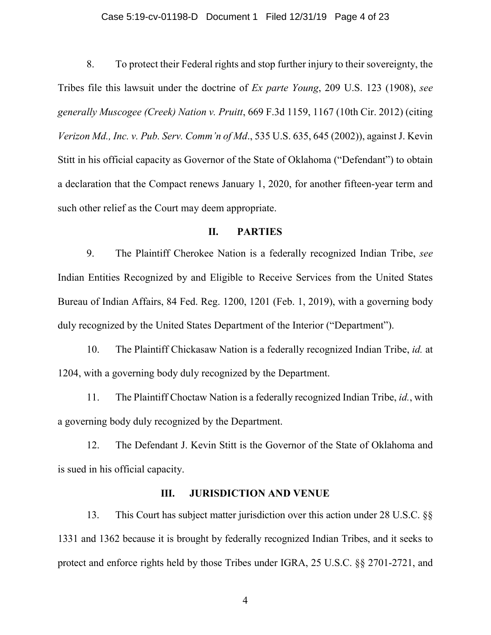### Case 5:19-cv-01198-D Document 1 Filed 12/31/19 Page 4 of 23

8. To protect their Federal rights and stop further injury to their sovereignty, the Tribes file this lawsuit under the doctrine of *Ex parte Young*, 209 U.S. 123 (1908), *see generally Muscogee (Creek) Nation v. Pruitt*, 669 F.3d 1159, 1167 (10th Cir. 2012) (citing *Verizon Md., Inc. v. Pub. Serv. Comm'n of Md*., 535 U.S. 635, 645 (2002)), against J. Kevin Stitt in his official capacity as Governor of the State of Oklahoma ("Defendant") to obtain a declaration that the Compact renews January 1, 2020, for another fifteen-year term and such other relief as the Court may deem appropriate.

## **II. PARTIES**

9. The Plaintiff Cherokee Nation is a federally recognized Indian Tribe, *see* Indian Entities Recognized by and Eligible to Receive Services from the United States Bureau of Indian Affairs, 84 Fed. Reg. 1200, 1201 (Feb. 1, 2019), with a governing body duly recognized by the United States Department of the Interior ("Department").

10. The Plaintiff Chickasaw Nation is a federally recognized Indian Tribe, *id.* at 1204, with a governing body duly recognized by the Department.

11. The Plaintiff Choctaw Nation is a federally recognized Indian Tribe, *id.*, with a governing body duly recognized by the Department.

12. The Defendant J. Kevin Stitt is the Governor of the State of Oklahoma and is sued in his official capacity.

## **III. JURISDICTION AND VENUE**

13. This Court has subject matter jurisdiction over this action under 28 U.S.C. §§ 1331 and 1362 because it is brought by federally recognized Indian Tribes, and it seeks to protect and enforce rights held by those Tribes under IGRA, 25 U.S.C. §§ 2701-2721, and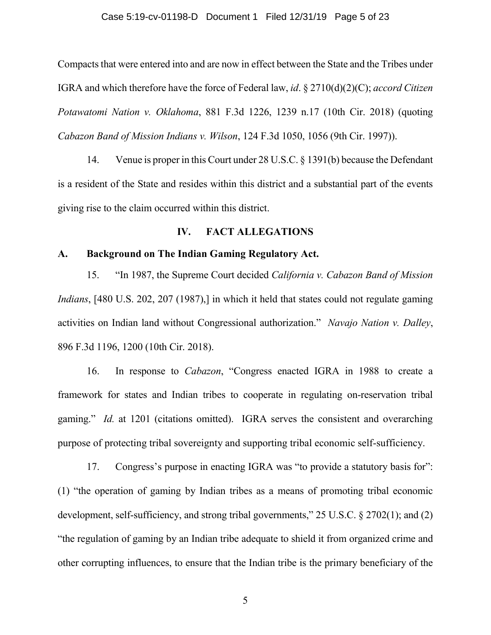### Case 5:19-cv-01198-D Document 1 Filed 12/31/19 Page 5 of 23

Compacts that were entered into and are now in effect between the State and the Tribes under IGRA and which therefore have the force of Federal law, *id*. § 2710(d)(2)(C); *accord Citizen Potawatomi Nation v. Oklahoma*, 881 F.3d 1226, 1239 n.17 (10th Cir. 2018) (quoting *Cabazon Band of Mission Indians v. Wilson*, 124 F.3d 1050, 1056 (9th Cir. 1997)).

14. Venue is proper in this Court under 28 U.S.C. § 1391(b) because the Defendant is a resident of the State and resides within this district and a substantial part of the events giving rise to the claim occurred within this district.

## **IV. FACT ALLEGATIONS**

## **A. Background on The Indian Gaming Regulatory Act.**

15. "In 1987, the Supreme Court decided *California v. Cabazon Band of Mission Indians*, [480 U.S. 202, 207 (1987),] in which it held that states could not regulate gaming activities on Indian land without Congressional authorization." *Navajo Nation v. Dalley*, 896 F.3d 1196, 1200 (10th Cir. 2018).

16. In response to *Cabazon*, "Congress enacted IGRA in 1988 to create a framework for states and Indian tribes to cooperate in regulating on-reservation tribal gaming." *Id.* at 1201 (citations omitted). IGRA serves the consistent and overarching purpose of protecting tribal sovereignty and supporting tribal economic self-sufficiency.

17. Congress's purpose in enacting IGRA was "to provide a statutory basis for": (1) "the operation of gaming by Indian tribes as a means of promoting tribal economic development, self-sufficiency, and strong tribal governments," 25 U.S.C. § 2702(1); and (2) "the regulation of gaming by an Indian tribe adequate to shield it from organized crime and other corrupting influences, to ensure that the Indian tribe is the primary beneficiary of the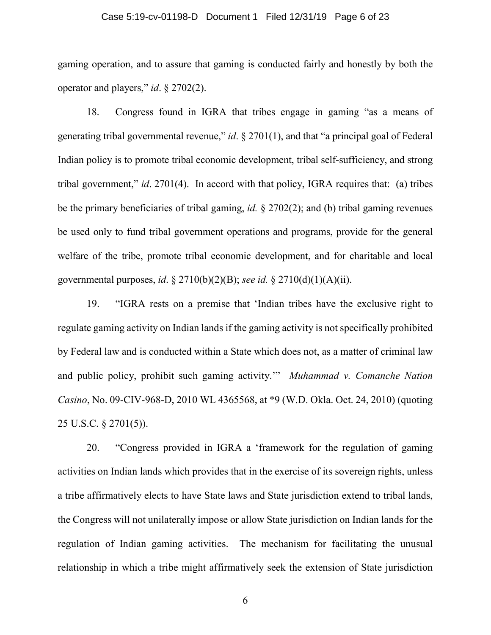### Case 5:19-cv-01198-D Document 1 Filed 12/31/19 Page 6 of 23

gaming operation, and to assure that gaming is conducted fairly and honestly by both the operator and players," *id*. § 2702(2).

18. Congress found in IGRA that tribes engage in gaming "as a means of generating tribal governmental revenue," *id*. § 2701(1), and that "a principal goal of Federal Indian policy is to promote tribal economic development, tribal self-sufficiency, and strong tribal government," *id*. 2701(4). In accord with that policy, IGRA requires that: (a) tribes be the primary beneficiaries of tribal gaming, *id.* § 2702(2); and (b) tribal gaming revenues be used only to fund tribal government operations and programs, provide for the general welfare of the tribe, promote tribal economic development, and for charitable and local governmental purposes, *id*. § 2710(b)(2)(B); *see id.* § 2710(d)(1)(A)(ii).

19. "IGRA rests on a premise that 'Indian tribes have the exclusive right to regulate gaming activity on Indian lands if the gaming activity is not specifically prohibited by Federal law and is conducted within a State which does not, as a matter of criminal law and public policy, prohibit such gaming activity.'" *Muhammad v. Comanche Nation Casino*, No. 09-CIV-968-D, 2010 WL 4365568, at \*9 (W.D. Okla. Oct. 24, 2010) (quoting 25 U.S.C. § 2701(5)).

20. "Congress provided in IGRA a 'framework for the regulation of gaming activities on Indian lands which provides that in the exercise of its sovereign rights, unless a tribe affirmatively elects to have State laws and State jurisdiction extend to tribal lands, the Congress will not unilaterally impose or allow State jurisdiction on Indian lands for the regulation of Indian gaming activities. The mechanism for facilitating the unusual relationship in which a tribe might affirmatively seek the extension of State jurisdiction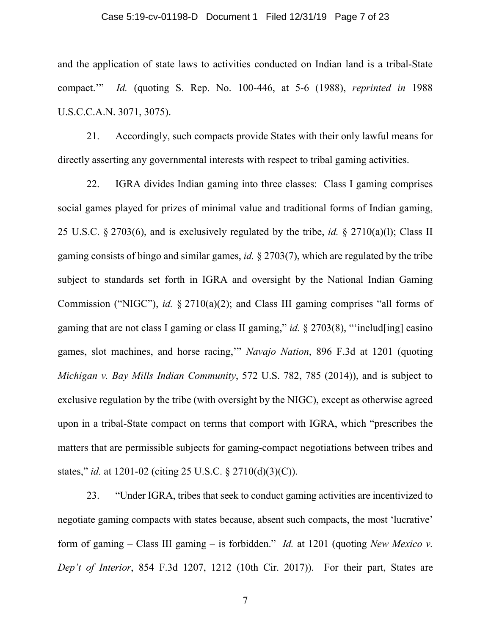### Case 5:19-cv-01198-D Document 1 Filed 12/31/19 Page 7 of 23

and the application of state laws to activities conducted on Indian land is a tribal-State compact.'" *Id.* (quoting S. Rep. No. 100-446, at 5-6 (1988), *reprinted in* 1988 U.S.C.C.A.N. 3071, 3075).

21. Accordingly, such compacts provide States with their only lawful means for directly asserting any governmental interests with respect to tribal gaming activities.

22. IGRA divides Indian gaming into three classes: Class I gaming comprises social games played for prizes of minimal value and traditional forms of Indian gaming, 25 U.S.C. § 2703(6), and is exclusively regulated by the tribe, *id.* § 2710(a)(l); Class II gaming consists of bingo and similar games, *id.* § 2703(7), which are regulated by the tribe subject to standards set forth in IGRA and oversight by the National Indian Gaming Commission ("NIGC"), *id.* § 2710(a)(2); and Class III gaming comprises "all forms of gaming that are not class I gaming or class II gaming," *id.* § 2703(8), "'includ[ing] casino games, slot machines, and horse racing,'" *Navajo Nation*, 896 F.3d at 1201 (quoting *Michigan v. Bay Mills Indian Community*, 572 U.S. 782, 785 (2014)), and is subject to exclusive regulation by the tribe (with oversight by the NIGC), except as otherwise agreed upon in a tribal-State compact on terms that comport with IGRA, which "prescribes the matters that are permissible subjects for gaming-compact negotiations between tribes and states," *id.* at 1201-02 (citing 25 U.S.C. § 2710(d)(3)(C)).

23. "Under IGRA, tribes that seek to conduct gaming activities are incentivized to negotiate gaming compacts with states because, absent such compacts, the most 'lucrative' form of gaming – Class III gaming – is forbidden." *Id.* at 1201 (quoting *New Mexico v. Dep't of Interior*, 854 F.3d 1207, 1212 (10th Cir. 2017)). For their part, States are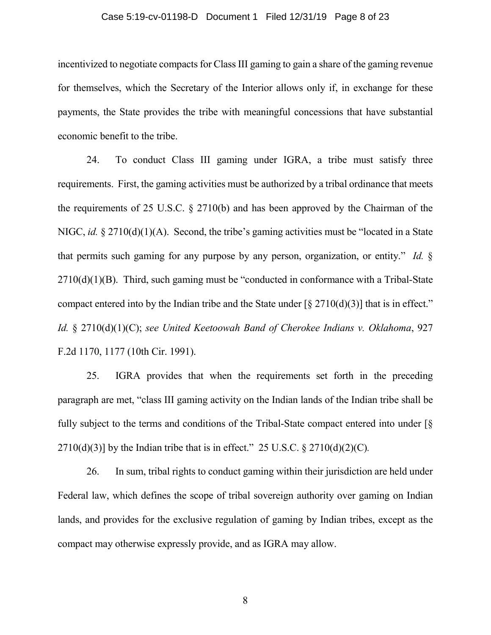### Case 5:19-cv-01198-D Document 1 Filed 12/31/19 Page 8 of 23

incentivized to negotiate compacts for Class III gaming to gain a share of the gaming revenue for themselves, which the Secretary of the Interior allows only if, in exchange for these payments, the State provides the tribe with meaningful concessions that have substantial economic benefit to the tribe.

24. To conduct Class III gaming under IGRA, a tribe must satisfy three requirements. First, the gaming activities must be authorized by a tribal ordinance that meets the requirements of 25 U.S.C. § 2710(b) and has been approved by the Chairman of the NIGC, *id.* § 2710(d)(1)(A). Second, the tribe's gaming activities must be "located in a State that permits such gaming for any purpose by any person, organization, or entity." *Id.* §  $2710(d)(1)(B)$ . Third, such gaming must be "conducted in conformance with a Tribal-State compact entered into by the Indian tribe and the State under  $\lceil \frac{8}{5} \cdot 2710(d)(3) \rceil$  that is in effect." *Id.* § 2710(d)(1)(C); *see United Keetoowah Band of Cherokee Indians v. Oklahoma*, 927 F.2d 1170, 1177 (10th Cir. 1991).

25. IGRA provides that when the requirements set forth in the preceding paragraph are met, "class III gaming activity on the Indian lands of the Indian tribe shall be fully subject to the terms and conditions of the Tribal-State compact entered into under [§  $2710(d)(3)$ ] by the Indian tribe that is in effect." 25 U.S.C. §  $2710(d)(2)(C)$ *.* 

26. In sum, tribal rights to conduct gaming within their jurisdiction are held under Federal law, which defines the scope of tribal sovereign authority over gaming on Indian lands, and provides for the exclusive regulation of gaming by Indian tribes, except as the compact may otherwise expressly provide, and as IGRA may allow.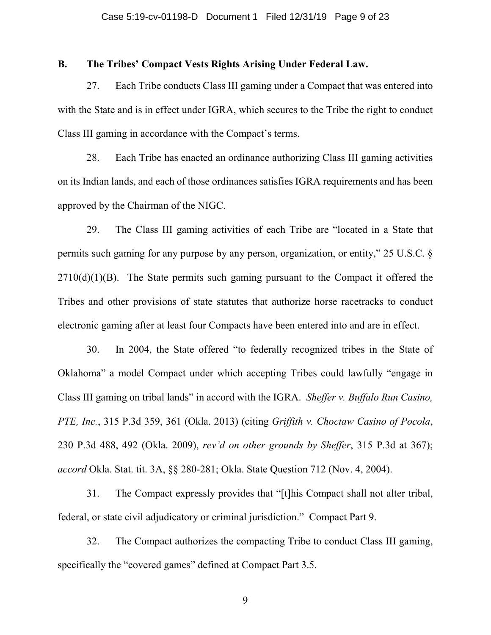## **B. The Tribes' Compact Vests Rights Arising Under Federal Law.**

27. Each Tribe conducts Class III gaming under a Compact that was entered into with the State and is in effect under IGRA, which secures to the Tribe the right to conduct Class III gaming in accordance with the Compact's terms.

28. Each Tribe has enacted an ordinance authorizing Class III gaming activities on its Indian lands, and each of those ordinances satisfies IGRA requirements and has been approved by the Chairman of the NIGC.

29. The Class III gaming activities of each Tribe are "located in a State that permits such gaming for any purpose by any person, organization, or entity," 25 U.S.C. §  $2710(d)(1)(B)$ . The State permits such gaming pursuant to the Compact it offered the Tribes and other provisions of state statutes that authorize horse racetracks to conduct electronic gaming after at least four Compacts have been entered into and are in effect.

30. In 2004, the State offered "to federally recognized tribes in the State of Oklahoma" a model Compact under which accepting Tribes could lawfully "engage in Class III gaming on tribal lands" in accord with the IGRA. *Sheffer v. Buffalo Run Casino, PTE, Inc.*, 315 P.3d 359, 361 (Okla. 2013) (citing *Griffith v. Choctaw Casino of Pocola*, 230 P.3d 488, 492 (Okla. 2009), *rev'd on other grounds by Sheffer*, 315 P.3d at 367); *accord* Okla. Stat. tit. 3A, §§ 280-281; Okla. State Question 712 (Nov. 4, 2004).

31. The Compact expressly provides that "[t]his Compact shall not alter tribal, federal, or state civil adjudicatory or criminal jurisdiction." Compact Part 9.

32. The Compact authorizes the compacting Tribe to conduct Class III gaming, specifically the "covered games" defined at Compact Part 3.5.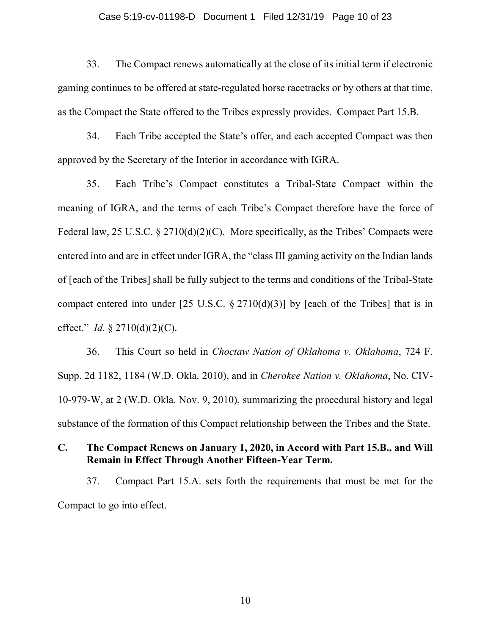### Case 5:19-cv-01198-D Document 1 Filed 12/31/19 Page 10 of 23

33. The Compact renews automatically at the close of its initial term if electronic gaming continues to be offered at state-regulated horse racetracks or by others at that time, as the Compact the State offered to the Tribes expressly provides. Compact Part 15.B.

34. Each Tribe accepted the State's offer, and each accepted Compact was then approved by the Secretary of the Interior in accordance with IGRA.

35. Each Tribe's Compact constitutes a Tribal-State Compact within the meaning of IGRA, and the terms of each Tribe's Compact therefore have the force of Federal law, 25 U.S.C.  $\S 2710(d)(2)(C)$ . More specifically, as the Tribes' Compacts were entered into and are in effect under IGRA, the "class III gaming activity on the Indian lands of [each of the Tribes] shall be fully subject to the terms and conditions of the Tribal-State compact entered into under  $[25 \text{ U.S.C. } § 2710(d)(3)]$  by [each of the Tribes] that is in effect." *Id.* § 2710(d)(2)(C).

36. This Court so held in *Choctaw Nation of Oklahoma v. Oklahoma*, 724 F. Supp. 2d 1182, 1184 (W.D. Okla. 2010), and in *Cherokee Nation v. Oklahoma*, No. CIV-10-979-W, at 2 (W.D. Okla. Nov. 9, 2010), summarizing the procedural history and legal substance of the formation of this Compact relationship between the Tribes and the State.

# **C. The Compact Renews on January 1, 2020, in Accord with Part 15.B., and Will Remain in Effect Through Another Fifteen-Year Term.**

37. Compact Part 15.A. sets forth the requirements that must be met for the Compact to go into effect.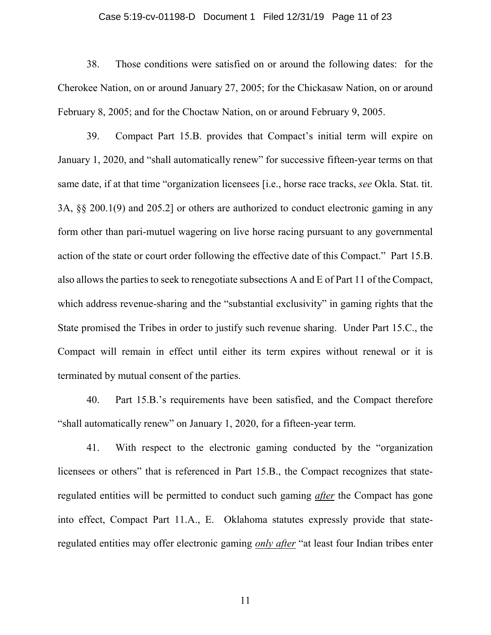### Case 5:19-cv-01198-D Document 1 Filed 12/31/19 Page 11 of 23

38. Those conditions were satisfied on or around the following dates: for the Cherokee Nation, on or around January 27, 2005; for the Chickasaw Nation, on or around February 8, 2005; and for the Choctaw Nation, on or around February 9, 2005.

39. Compact Part 15.B. provides that Compact's initial term will expire on January 1, 2020, and "shall automatically renew" for successive fifteen-year terms on that same date, if at that time "organization licensees [i.e., horse race tracks, *see* Okla. Stat. tit. 3A, §§ 200.1(9) and 205.2] or others are authorized to conduct electronic gaming in any form other than pari-mutuel wagering on live horse racing pursuant to any governmental action of the state or court order following the effective date of this Compact." Part 15.B. also allows the parties to seek to renegotiate subsections A and E of Part 11 of the Compact, which address revenue-sharing and the "substantial exclusivity" in gaming rights that the State promised the Tribes in order to justify such revenue sharing. Under Part 15.C., the Compact will remain in effect until either its term expires without renewal or it is terminated by mutual consent of the parties.

40. Part 15.B.'s requirements have been satisfied, and the Compact therefore "shall automatically renew" on January 1, 2020, for a fifteen-year term.

41. With respect to the electronic gaming conducted by the "organization licensees or others" that is referenced in Part 15.B., the Compact recognizes that stateregulated entities will be permitted to conduct such gaming *after* the Compact has gone into effect, Compact Part 11.A., E. Oklahoma statutes expressly provide that stateregulated entities may offer electronic gaming *only after* "at least four Indian tribes enter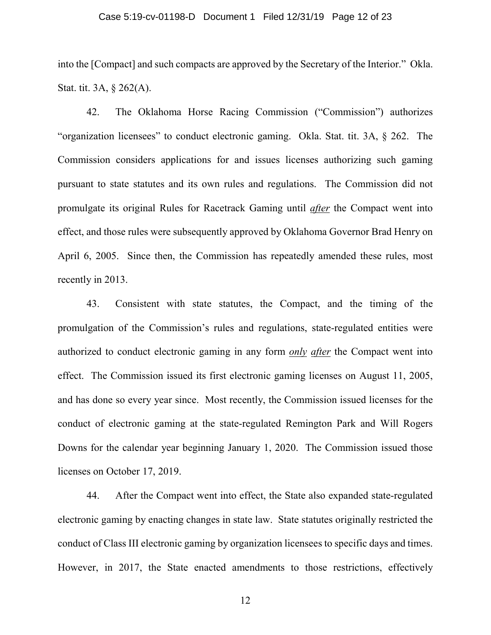### Case 5:19-cv-01198-D Document 1 Filed 12/31/19 Page 12 of 23

into the [Compact] and such compacts are approved by the Secretary of the Interior." Okla. Stat. tit. 3A, § 262(A).

42. The Oklahoma Horse Racing Commission ("Commission") authorizes "organization licensees" to conduct electronic gaming. Okla. Stat. tit. 3A, § 262. The Commission considers applications for and issues licenses authorizing such gaming pursuant to state statutes and its own rules and regulations. The Commission did not promulgate its original Rules for Racetrack Gaming until *after* the Compact went into effect, and those rules were subsequently approved by Oklahoma Governor Brad Henry on April 6, 2005. Since then, the Commission has repeatedly amended these rules, most recently in 2013.

43. Consistent with state statutes, the Compact, and the timing of the promulgation of the Commission's rules and regulations, state-regulated entities were authorized to conduct electronic gaming in any form *only after* the Compact went into effect. The Commission issued its first electronic gaming licenses on August 11, 2005, and has done so every year since. Most recently, the Commission issued licenses for the conduct of electronic gaming at the state-regulated Remington Park and Will Rogers Downs for the calendar year beginning January 1, 2020. The Commission issued those licenses on October 17, 2019.

44. After the Compact went into effect, the State also expanded state-regulated electronic gaming by enacting changes in state law. State statutes originally restricted the conduct of Class III electronic gaming by organization licensees to specific days and times. However, in 2017, the State enacted amendments to those restrictions, effectively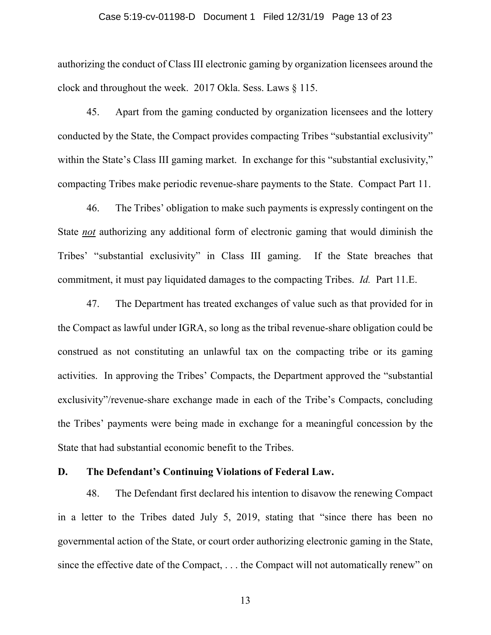### Case 5:19-cv-01198-D Document 1 Filed 12/31/19 Page 13 of 23

authorizing the conduct of Class III electronic gaming by organization licensees around the clock and throughout the week. 2017 Okla. Sess. Laws § 115.

45. Apart from the gaming conducted by organization licensees and the lottery conducted by the State, the Compact provides compacting Tribes "substantial exclusivity" within the State's Class III gaming market. In exchange for this "substantial exclusivity," compacting Tribes make periodic revenue-share payments to the State. Compact Part 11.

46. The Tribes' obligation to make such payments is expressly contingent on the State *not* authorizing any additional form of electronic gaming that would diminish the Tribes' "substantial exclusivity" in Class III gaming. If the State breaches that commitment, it must pay liquidated damages to the compacting Tribes. *Id.* Part 11.E.

47. The Department has treated exchanges of value such as that provided for in the Compact as lawful under IGRA, so long as the tribal revenue-share obligation could be construed as not constituting an unlawful tax on the compacting tribe or its gaming activities. In approving the Tribes' Compacts, the Department approved the "substantial exclusivity"/revenue-share exchange made in each of the Tribe's Compacts, concluding the Tribes' payments were being made in exchange for a meaningful concession by the State that had substantial economic benefit to the Tribes.

# **D. The Defendant's Continuing Violations of Federal Law.**

48. The Defendant first declared his intention to disavow the renewing Compact in a letter to the Tribes dated July 5, 2019, stating that "since there has been no governmental action of the State, or court order authorizing electronic gaming in the State, since the effective date of the Compact, . . . the Compact will not automatically renew" on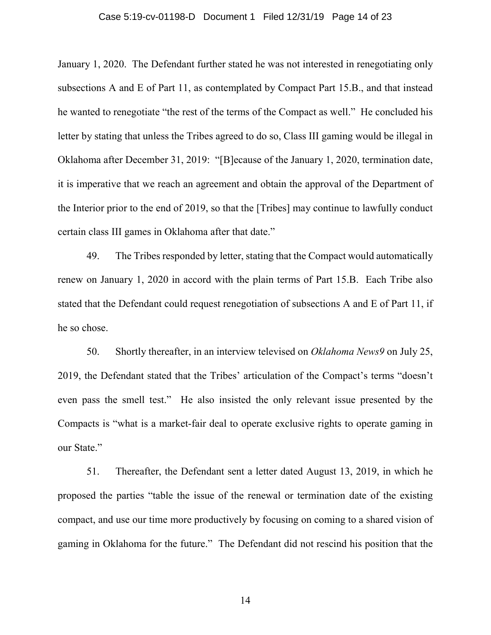### Case 5:19-cv-01198-D Document 1 Filed 12/31/19 Page 14 of 23

January 1, 2020. The Defendant further stated he was not interested in renegotiating only subsections A and E of Part 11, as contemplated by Compact Part 15.B., and that instead he wanted to renegotiate "the rest of the terms of the Compact as well." He concluded his letter by stating that unless the Tribes agreed to do so, Class III gaming would be illegal in Oklahoma after December 31, 2019: "[B]ecause of the January 1, 2020, termination date, it is imperative that we reach an agreement and obtain the approval of the Department of the Interior prior to the end of 2019, so that the [Tribes] may continue to lawfully conduct certain class III games in Oklahoma after that date."

49. The Tribes responded by letter, stating that the Compact would automatically renew on January 1, 2020 in accord with the plain terms of Part 15.B. Each Tribe also stated that the Defendant could request renegotiation of subsections A and E of Part 11, if he so chose.

50. Shortly thereafter, in an interview televised on *Oklahoma News9* on July 25, 2019, the Defendant stated that the Tribes' articulation of the Compact's terms "doesn't even pass the smell test." He also insisted the only relevant issue presented by the Compacts is "what is a market-fair deal to operate exclusive rights to operate gaming in our State."

51. Thereafter, the Defendant sent a letter dated August 13, 2019, in which he proposed the parties "table the issue of the renewal or termination date of the existing compact, and use our time more productively by focusing on coming to a shared vision of gaming in Oklahoma for the future." The Defendant did not rescind his position that the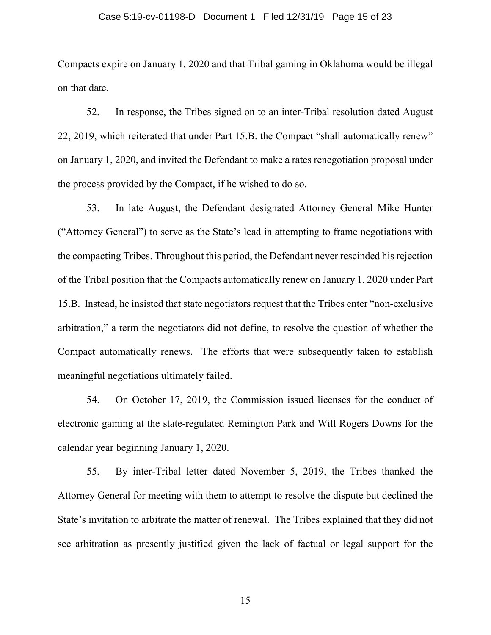### Case 5:19-cv-01198-D Document 1 Filed 12/31/19 Page 15 of 23

Compacts expire on January 1, 2020 and that Tribal gaming in Oklahoma would be illegal on that date.

52. In response, the Tribes signed on to an inter-Tribal resolution dated August 22, 2019, which reiterated that under Part 15.B. the Compact "shall automatically renew" on January 1, 2020, and invited the Defendant to make a rates renegotiation proposal under the process provided by the Compact, if he wished to do so.

53. In late August, the Defendant designated Attorney General Mike Hunter ("Attorney General") to serve as the State's lead in attempting to frame negotiations with the compacting Tribes. Throughout this period, the Defendant never rescinded his rejection of the Tribal position that the Compacts automatically renew on January 1, 2020 under Part 15.B. Instead, he insisted that state negotiators request that the Tribes enter "non-exclusive arbitration," a term the negotiators did not define, to resolve the question of whether the Compact automatically renews. The efforts that were subsequently taken to establish meaningful negotiations ultimately failed.

54. On October 17, 2019, the Commission issued licenses for the conduct of electronic gaming at the state-regulated Remington Park and Will Rogers Downs for the calendar year beginning January 1, 2020.

55. By inter-Tribal letter dated November 5, 2019, the Tribes thanked the Attorney General for meeting with them to attempt to resolve the dispute but declined the State's invitation to arbitrate the matter of renewal. The Tribes explained that they did not see arbitration as presently justified given the lack of factual or legal support for the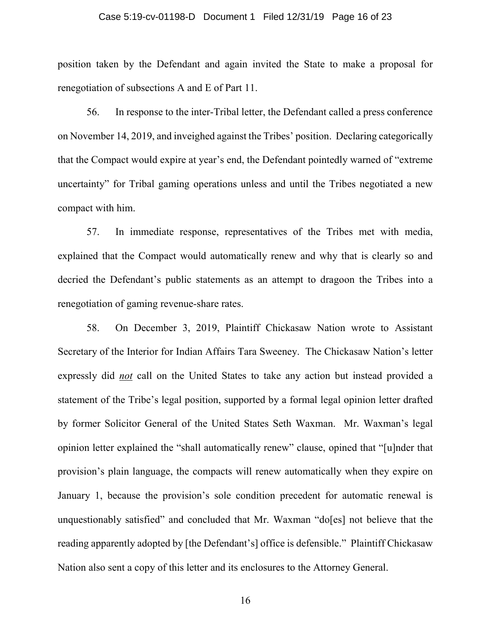### Case 5:19-cv-01198-D Document 1 Filed 12/31/19 Page 16 of 23

position taken by the Defendant and again invited the State to make a proposal for renegotiation of subsections A and E of Part 11.

56. In response to the inter-Tribal letter, the Defendant called a press conference on November 14, 2019, and inveighed against the Tribes' position. Declaring categorically that the Compact would expire at year's end, the Defendant pointedly warned of "extreme uncertainty" for Tribal gaming operations unless and until the Tribes negotiated a new compact with him.

57. In immediate response, representatives of the Tribes met with media, explained that the Compact would automatically renew and why that is clearly so and decried the Defendant's public statements as an attempt to dragoon the Tribes into a renegotiation of gaming revenue-share rates.

58. On December 3, 2019, Plaintiff Chickasaw Nation wrote to Assistant Secretary of the Interior for Indian Affairs Tara Sweeney. The Chickasaw Nation's letter expressly did *not* call on the United States to take any action but instead provided a statement of the Tribe's legal position, supported by a formal legal opinion letter drafted by former Solicitor General of the United States Seth Waxman. Mr. Waxman's legal opinion letter explained the "shall automatically renew" clause, opined that "[u]nder that provision's plain language, the compacts will renew automatically when they expire on January 1, because the provision's sole condition precedent for automatic renewal is unquestionably satisfied" and concluded that Mr. Waxman "do[es] not believe that the reading apparently adopted by [the Defendant's] office is defensible." Plaintiff Chickasaw Nation also sent a copy of this letter and its enclosures to the Attorney General.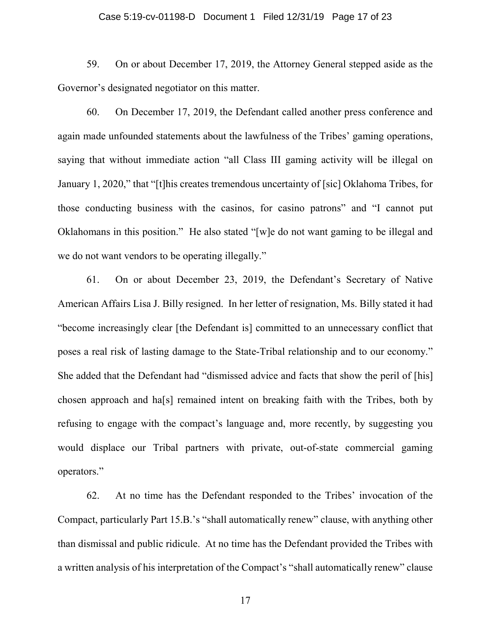### Case 5:19-cv-01198-D Document 1 Filed 12/31/19 Page 17 of 23

59. On or about December 17, 2019, the Attorney General stepped aside as the Governor's designated negotiator on this matter.

60. On December 17, 2019, the Defendant called another press conference and again made unfounded statements about the lawfulness of the Tribes' gaming operations, saying that without immediate action "all Class III gaming activity will be illegal on January 1, 2020," that "[t]his creates tremendous uncertainty of [sic] Oklahoma Tribes, for those conducting business with the casinos, for casino patrons" and "I cannot put Oklahomans in this position." He also stated "[w]e do not want gaming to be illegal and we do not want vendors to be operating illegally."

61. On or about December 23, 2019, the Defendant's Secretary of Native American Affairs Lisa J. Billy resigned. In her letter of resignation, Ms. Billy stated it had "become increasingly clear [the Defendant is] committed to an unnecessary conflict that poses a real risk of lasting damage to the State-Tribal relationship and to our economy." She added that the Defendant had "dismissed advice and facts that show the peril of [his] chosen approach and ha[s] remained intent on breaking faith with the Tribes, both by refusing to engage with the compact's language and, more recently, by suggesting you would displace our Tribal partners with private, out-of-state commercial gaming operators."

62. At no time has the Defendant responded to the Tribes' invocation of the Compact, particularly Part 15.B.'s "shall automatically renew" clause, with anything other than dismissal and public ridicule. At no time has the Defendant provided the Tribes with a written analysis of his interpretation of the Compact's "shall automatically renew" clause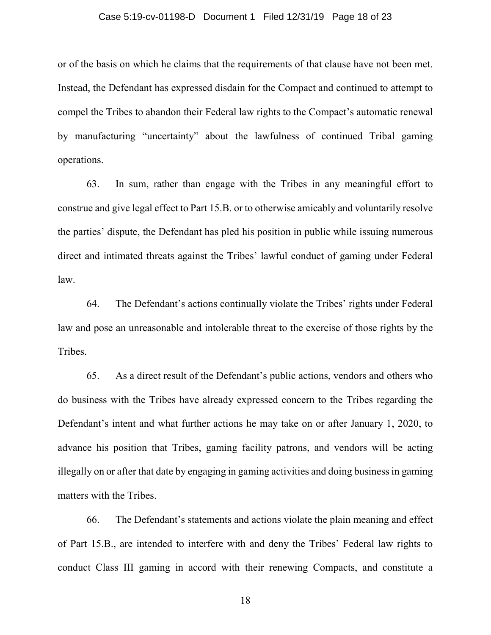### Case 5:19-cv-01198-D Document 1 Filed 12/31/19 Page 18 of 23

or of the basis on which he claims that the requirements of that clause have not been met. Instead, the Defendant has expressed disdain for the Compact and continued to attempt to compel the Tribes to abandon their Federal law rights to the Compact's automatic renewal by manufacturing "uncertainty" about the lawfulness of continued Tribal gaming operations.

63. In sum, rather than engage with the Tribes in any meaningful effort to construe and give legal effect to Part 15.B. or to otherwise amicably and voluntarily resolve the parties' dispute, the Defendant has pled his position in public while issuing numerous direct and intimated threats against the Tribes' lawful conduct of gaming under Federal law.

64. The Defendant's actions continually violate the Tribes' rights under Federal law and pose an unreasonable and intolerable threat to the exercise of those rights by the Tribes.

65. As a direct result of the Defendant's public actions, vendors and others who do business with the Tribes have already expressed concern to the Tribes regarding the Defendant's intent and what further actions he may take on or after January 1, 2020, to advance his position that Tribes, gaming facility patrons, and vendors will be acting illegally on or after that date by engaging in gaming activities and doing business in gaming matters with the Tribes.

66. The Defendant's statements and actions violate the plain meaning and effect of Part 15.B., are intended to interfere with and deny the Tribes' Federal law rights to conduct Class III gaming in accord with their renewing Compacts, and constitute a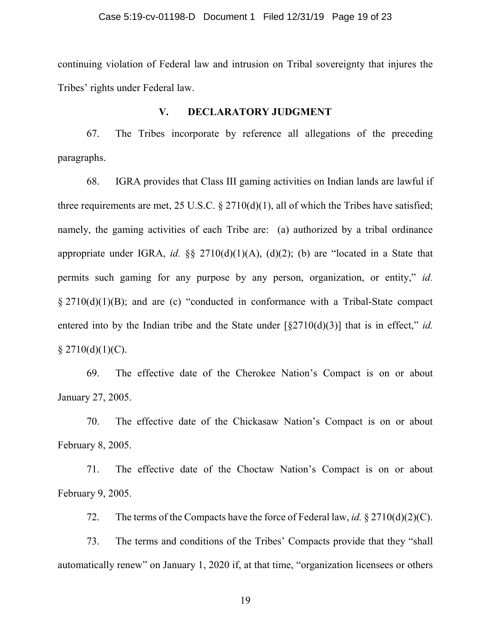### Case 5:19-cv-01198-D Document 1 Filed 12/31/19 Page 19 of 23

continuing violation of Federal law and intrusion on Tribal sovereignty that injures the Tribes' rights under Federal law.

## **V. DECLARATORY JUDGMENT**

67. The Tribes incorporate by reference all allegations of the preceding paragraphs.

68. IGRA provides that Class III gaming activities on Indian lands are lawful if three requirements are met, 25 U.S.C.  $\S 2710(d)(1)$ , all of which the Tribes have satisfied; namely, the gaming activities of each Tribe are: (a) authorized by a tribal ordinance appropriate under IGRA, *id.* §§ 2710(d)(1)(A), (d)(2); (b) are "located in a State that permits such gaming for any purpose by any person, organization, or entity," *id.* § 2710(d)(1)(B); and are (c) "conducted in conformance with a Tribal-State compact entered into by the Indian tribe and the State under [§2710(d)(3)] that is in effect," *id.*  $§$  2710(d)(1)(C).

69. The effective date of the Cherokee Nation's Compact is on or about January 27, 2005.

70. The effective date of the Chickasaw Nation's Compact is on or about February 8, 2005.

71. The effective date of the Choctaw Nation's Compact is on or about February 9, 2005.

72. The terms of the Compacts have the force of Federal law, *id.* § 2710(d)(2)(C).

73. The terms and conditions of the Tribes' Compacts provide that they "shall automatically renew" on January 1, 2020 if, at that time, "organization licensees or others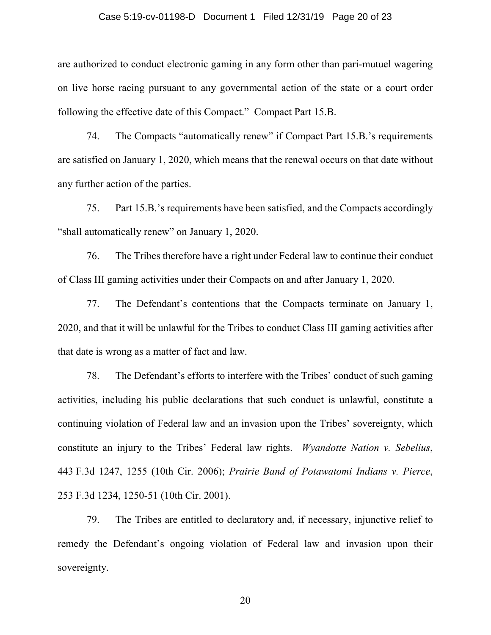### Case 5:19-cv-01198-D Document 1 Filed 12/31/19 Page 20 of 23

are authorized to conduct electronic gaming in any form other than pari-mutuel wagering on live horse racing pursuant to any governmental action of the state or a court order following the effective date of this Compact." Compact Part 15.B.

74. The Compacts "automatically renew" if Compact Part 15.B.'s requirements are satisfied on January 1, 2020, which means that the renewal occurs on that date without any further action of the parties.

75. Part 15.B.'s requirements have been satisfied, and the Compacts accordingly "shall automatically renew" on January 1, 2020.

76. The Tribes therefore have a right under Federal law to continue their conduct of Class III gaming activities under their Compacts on and after January 1, 2020.

77. The Defendant's contentions that the Compacts terminate on January 1, 2020, and that it will be unlawful for the Tribes to conduct Class III gaming activities after that date is wrong as a matter of fact and law.

78. The Defendant's efforts to interfere with the Tribes' conduct of such gaming activities, including his public declarations that such conduct is unlawful, constitute a continuing violation of Federal law and an invasion upon the Tribes' sovereignty, which constitute an injury to the Tribes' Federal law rights. *Wyandotte Nation v. Sebelius*, 443 F.3d 1247, 1255 (10th Cir. 2006); *Prairie Band of Potawatomi Indians v. Pierce*, 253 F.3d 1234, 1250-51 (10th Cir. 2001).

79. The Tribes are entitled to declaratory and, if necessary, injunctive relief to remedy the Defendant's ongoing violation of Federal law and invasion upon their sovereignty.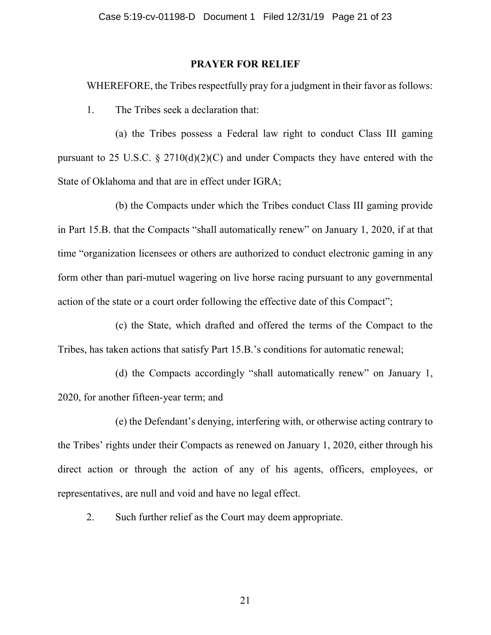## **PRAYER FOR RELIEF**

WHEREFORE, the Tribes respectfully pray for a judgment in their favor as follows:

1. The Tribes seek a declaration that:

(a) the Tribes possess a Federal law right to conduct Class III gaming pursuant to 25 U.S.C.  $\S 2710(d)(2)(C)$  and under Compacts they have entered with the State of Oklahoma and that are in effect under IGRA;

(b) the Compacts under which the Tribes conduct Class III gaming provide in Part 15.B. that the Compacts "shall automatically renew" on January 1, 2020, if at that time "organization licensees or others are authorized to conduct electronic gaming in any form other than pari-mutuel wagering on live horse racing pursuant to any governmental action of the state or a court order following the effective date of this Compact";

(c) the State, which drafted and offered the terms of the Compact to the Tribes, has taken actions that satisfy Part 15.B.'s conditions for automatic renewal;

(d) the Compacts accordingly "shall automatically renew" on January 1, 2020, for another fifteen-year term; and

(e) the Defendant's denying, interfering with, or otherwise acting contrary to the Tribes' rights under their Compacts as renewed on January 1, 2020, either through his direct action or through the action of any of his agents, officers, employees, or representatives, are null and void and have no legal effect.

2. Such further relief as the Court may deem appropriate.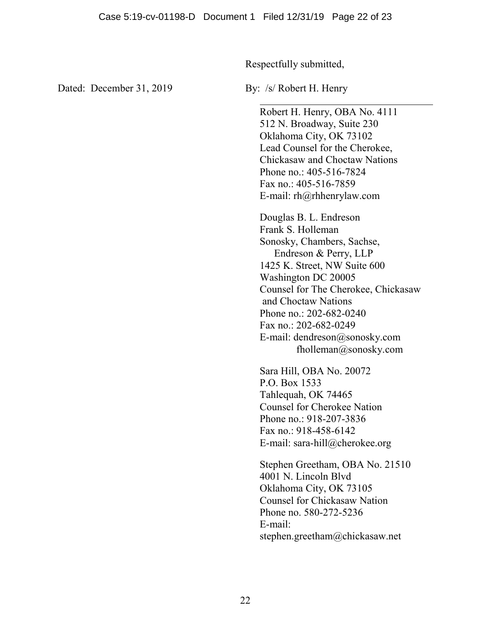Respectfully submitted,

Dated: December 31, 2019 By: /s/ Robert H. Henry

Robert H. Henry, OBA No. 4111 512 N. Broadway, Suite 230 Oklahoma City, OK 73102 Lead Counsel for the Cherokee, Chickasaw and Choctaw Nations Phone no.: 405-516-7824 Fax no.: 405-516-7859 E-mail: rh@rhhenrylaw.com Douglas B. L. Endreson Frank S. Holleman Sonosky, Chambers, Sachse, Endreson & Perry, LLP 1425 K. Street, NW Suite 600 Washington DC 20005 Counsel for The Cherokee, Chickasaw and Choctaw Nations Phone no.: 202-682-0240 Fax no.: 202-682-0249 E-mail: dendreson@sonosky.com fholleman@sonosky.com

Sara Hill, OBA No. 20072 P.O. Box 1533 Tahlequah, OK 74465 Counsel for Cherokee Nation Phone no.: 918-207-3836 Fax no.: 918-458-6142 E-mail: sara-hill@cherokee.org

Stephen Greetham, OBA No. 21510 4001 N. Lincoln Blvd Oklahoma City, OK 73105 Counsel for Chickasaw Nation Phone no. 580-272-5236 E-mail: stephen.greetham@chickasaw.net